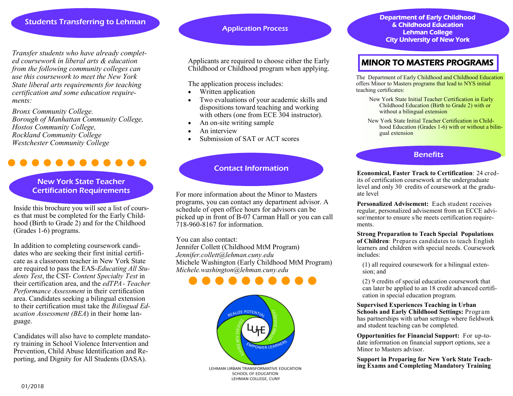# Students Transferring to Lehman

*Transfer students who have already completed coursework in liberal arts & education from the following community colleges can use this coursework to meet the New York State liberal arts requirements for teaching certification and some education requirements:*

*Bronx Community College. Borough of Manhattan Community College, Hostos Community College, Rockland Community College Westchester Community College* 

## New York State Teacher Certification Requirements

Inside this brochure you will see a list of courses that must be completed for the Early Childhood (Birth to Grade 2) and for the Childhood (Grades 1-6) programs.

In addition to completing coursework candidates who are seeking their first initial certificate as a classroom teacher in New York State are required to pass the EAS-*Educating All Students Test*, the CST- *Content Specialty Test* in their certification area, and the *edTPA- Teacher Performance Assessment* in their certification area. Candidates seeking a bilingual extension to their certification must take the *Bilingual Education Assessment (BEA*) in their home language.

Candidates will also have to complete mandatory training in School Violence Intervention and Prevention, Child Abuse Identification and Reporting, and Dignity for All Students (DASA).

## Application Process

Applicants are required to choose either the Early Childhood or Childhood program when applying.

The application process includes:

- Written application
- Two evaluations of your academic skills and dispositions toward teaching and working with others (one from ECE 304 instructor).
- An on-site writing sample
- An interview
- Submission of SAT or ACT scores

# Contact Information

For more information about the Minor to Masters programs, you can contact any department advisor. A schedule of open office hours for advisors can be picked up in front of B-07 Carman Hall or you can call 718-960-8167 for information.

You can also contact:

Jennifer Collett (Childhood MtM Program) *Jennifer.collett@lehman.cuny.edu*  Michele Washington (Early Childhood MtM Program) *Michele.washington@lehman.cuny.edu* 





Department of Early Childhood & Childhood Education Lehman College City University of New York

# MINOR TO MASTERS PROGRAMS

The Department of Early Childhood and Childhood Education offers Minor to Masters programs that lead to NYS initial teaching certificates:

New York State Initial Teacher Certification in Early Childhood Education (Birth to Grade 2) with or without a bilingual extension

New York State Initial Teacher Certification in Childhood Education (Grades 1-6) with or without a bilingual extension

## **Benefits**

**Economical, Faster Track to Certification**: 24 credits of certification coursework at the undergraduate level and only 30 credits of coursework at the graduate level

**Personalized Advisement:** Each student receives regular, personalized advisement from an ECCE advisor/mentor to ensure s/he meets certification requirements.

**Strong Preparation to Teach Special Populations of Children**: Prepares candidates to teach English learners and children with special needs. Coursework includes:

(1) all required coursework for a bilingual extension; and

(2) 9 credits of special education coursework that can later be applied to an 18 credit advanced certification in special education program.

**Supervised Experiences Teaching in Urban Schools and Early Childhood Settings:** Program has partnerships with urban settings where fieldwork and student teaching can be completed.

**Opportunities for Financial Support:** For up-todate information on financial support options, see a Minor to Masters advisor.

**Support in Preparing for New York State Teaching Exams and Completing Mandatory Training**

01/2018